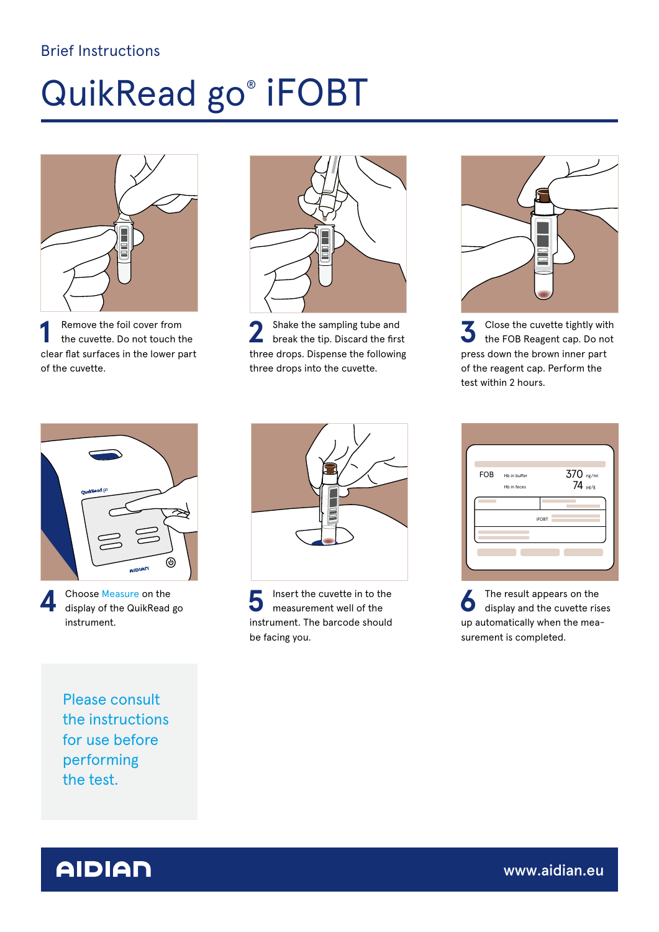## Brief Instructions

## QuikRead go® iFOBT



**1** Remove the foil cover from<br>the cuvette. Do not touch the clear flat surfaces in the lower part of the cuvette.



**2** Shake the sampling tube and break the tip. Discard the first three drops. Dispense the following three drops into the cuvette.



**3** Close the cuvette tightly with the FOB Reagent cap. Do not press down the brown inner part of the reagent cap. Perform the test within 2 hours.



**4** Choose Measure on the display of the QuikRead go instrument.



**5** Insert the cuvette in to the measurement well of the instrument. The barcode should be facing you.

| FOB | Hb in buffer | $370$ $_{\text{ng/ml}}$<br>$74$ $_{\text{pg/g}}$ |
|-----|--------------|--------------------------------------------------|
|     | Hb in feces  |                                                  |
|     |              | <b>iFOBT</b>                                     |
|     |              |                                                  |
|     |              |                                                  |
|     |              |                                                  |

**6** The result appears on the display and the cuvette rises up automatically when the measurement is completed.

Please consult the instructions for use before performing the test.